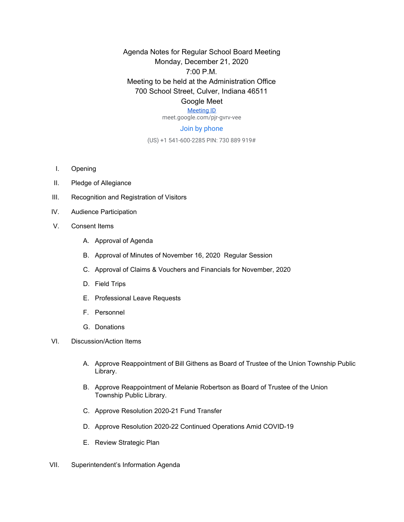Agenda Notes for Regular School Board Meeting Monday, December 21, 2020 7:00 P.M. Meeting to be held at the Administration Office 700 School Street, Culver, Indiana 46511

## Google Meet

[Meeting ID](https://meet.google.com/pjr-gvrv-vee) meet.google.com/pjr-gvrv-vee

## Join by phone

(US) +1 541-600-2285 PIN: 730 889 919#

- I. Opening
- II. Pledge of Allegiance
- III. Recognition and Registration of Visitors
- IV. Audience Participation
- V. Consent Items
	- A. Approval of Agenda
	- B. Approval of Minutes of November 16, 2020 Regular Session
	- C. Approval of Claims & Vouchers and Financials for November, 2020
	- D. Field Trips
	- E. Professional Leave Requests
	- F. Personnel
	- G. Donations
- VI. Discussion/Action Items
	- A. Approve Reappointment of Bill Githens as Board of Trustee of the Union Township Public Library.
	- B. Approve Reappointment of Melanie Robertson as Board of Trustee of the Union Township Public Library.
	- C. Approve Resolution 2020-21 Fund Transfer
	- D. Approve Resolution 2020-22 Continued Operations Amid COVID-19
	- E. Review Strategic Plan
- VII. Superintendent's Information Agenda